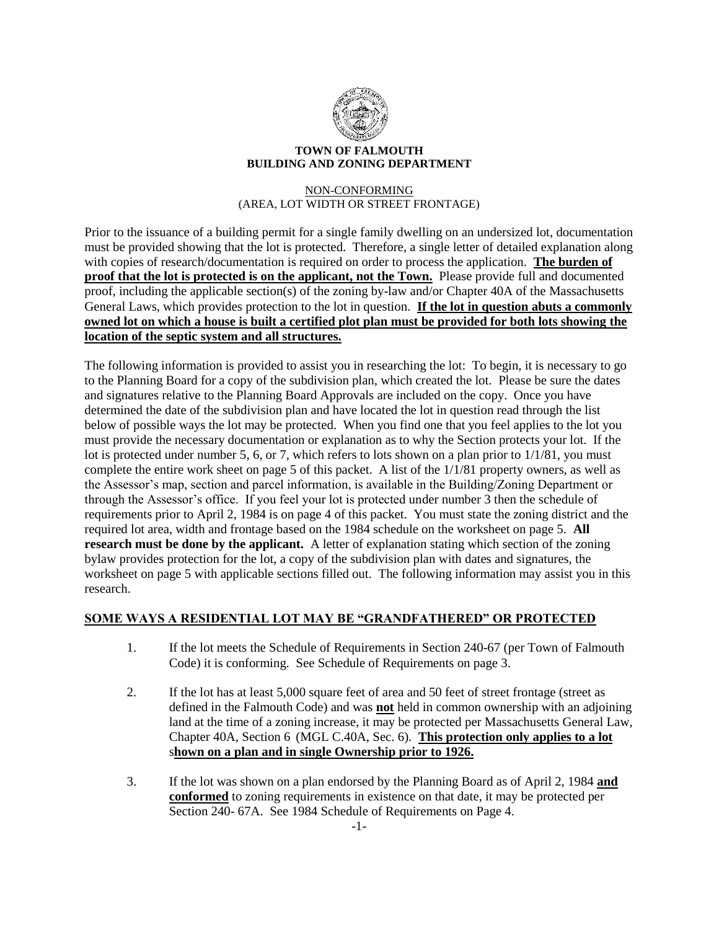

### **TOWN OF FALMOUTH BUILDING AND ZONING DEPARTMENT**

### NON-CONFORMING (AREA, LOT WIDTH OR STREET FRONTAGE)

Prior to the issuance of a building permit for a single family dwelling on an undersized lot, documentation must be provided showing that the lot is protected. Therefore, a single letter of detailed explanation along with copies of research/documentation is required on order to process the application. **The burden of proof that the lot is protected is on the applicant, not the Town.** Please provide full and documented proof, including the applicable section(s) of the zoning by-law and/or Chapter 40A of the Massachusetts General Laws, which provides protection to the lot in question. **If the lot in question abuts a commonly owned lot on which a house is built a certified plot plan must be provided for both lots showing the location of the septic system and all structures.**

The following information is provided to assist you in researching the lot: To begin, it is necessary to go to the Planning Board for a copy of the subdivision plan, which created the lot. Please be sure the dates and signatures relative to the Planning Board Approvals are included on the copy. Once you have determined the date of the subdivision plan and have located the lot in question read through the list below of possible ways the lot may be protected. When you find one that you feel applies to the lot you must provide the necessary documentation or explanation as to why the Section protects your lot. If the lot is protected under number 5, 6, or 7, which refers to lots shown on a plan prior to  $1/1/81$ , you must complete the entire work sheet on page 5 of this packet. A list of the 1/1/81 property owners, as well as the Assessor's map, section and parcel information, is available in the Building/Zoning Department or through the Assessor's office. If you feel your lot is protected under number 3 then the schedule of requirements prior to April 2, 1984 is on page 4 of this packet. You must state the zoning district and the required lot area, width and frontage based on the 1984 schedule on the worksheet on page 5. **All research must be done by the applicant.** A letter of explanation stating which section of the zoning bylaw provides protection for the lot, a copy of the subdivision plan with dates and signatures, the worksheet on page 5 with applicable sections filled out. The following information may assist you in this research.

## **SOME WAYS A RESIDENTIAL LOT MAY BE "GRANDFATHERED" OR PROTECTED**

- 1. If the lot meets the Schedule of Requirements in Section 240-67 (per Town of Falmouth Code) it is conforming. See Schedule of Requirements on page 3.
- 2. If the lot has at least 5,000 square feet of area and 50 feet of street frontage (street as defined in the Falmouth Code) and was **not** held in common ownership with an adjoining land at the time of a zoning increase, it may be protected per Massachusetts General Law, Chapter 40A, Section 6 (MGL C.40A, Sec. 6). **This protection only applies to a lot** s**hown on a plan and in single Ownership prior to 1926.**
- 3. If the lot was shown on a plan endorsed by the Planning Board as of April 2, 1984 **and conformed** to zoning requirements in existence on that date, it may be protected per Section 240- 67A. See 1984 Schedule of Requirements on Page 4.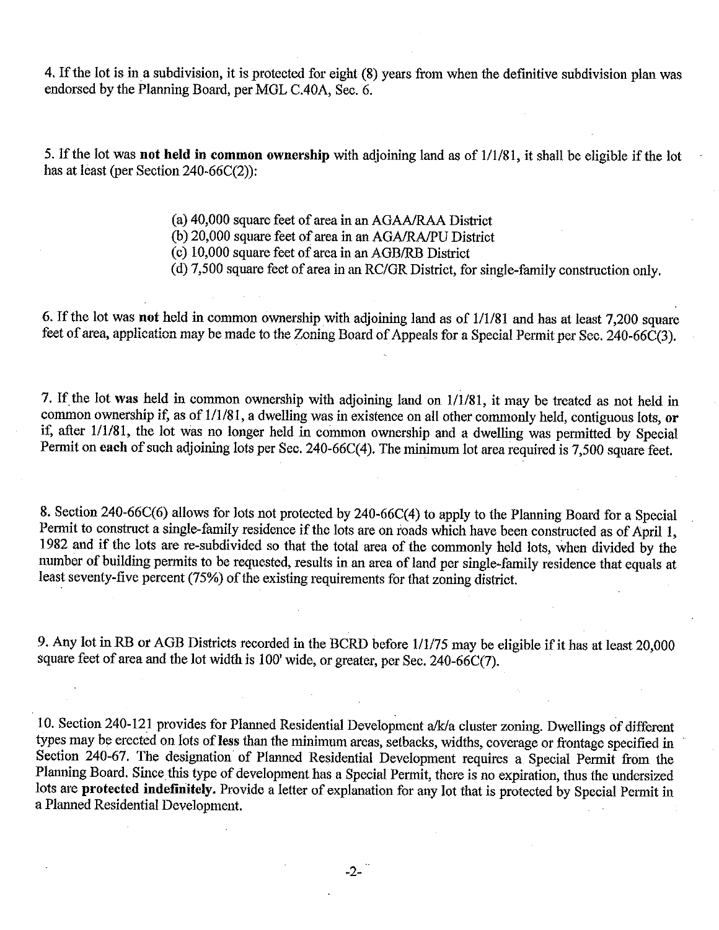4. If the lot is in a subdivision, it is protected for eight (8) years from when the definitive subdivision plan was endorsed by the Planning Board, per MGL C.40A, Sec. 6.

5. If the lot was not held in common ownership with adjoining land as of 1/1/81, it shall be eligible if the lot has at least (per Section 240-66C(2)):

(a) 40,000 square feet of area in an AGAA/RAA District

(b) 20,000 square feet of area in an AGA/RA/PU District

(c) 10,000 square feet of area in an AGB/RB District

(d) 7,500 square feet of area in an RC/GR District, for single-family construction only.

6. If the lot was not held in common ownership with adjoining land as of 1/1/81 and has at least 7,200 square feet of area, application may be made to the Zoning Board of Appeals for a Special Permit per Sec. 240-66C(3).

7. If the lot was held in common ownership with adjoining land on 1/1/81, it may be treated as not held in common ownership if, as of 1/1/81, a dwelling was in existence on all other commonly held, contiguous lots, or if, after 1/1/81, the lot was no longer held in common ownership and a dwelling was permitted by Special Permit on each of such adjoining lots per Sec. 240-66C(4). The minimum lot area required is 7,500 square feet.

8. Section 240-66C(6) allows for lots not protected by 240-66C(4) to apply to the Planning Board for a Special Permit to construct a single-family residence if the lots are on roads which have been constructed as of April 1, 1982 and if the lots are re-subdivided so that the total area of the commonly held lots, when divided by the number of building permits to be requested, results in an area of land per single-family residence that equals at least seventy-five percent (75%) of the existing requirements for that zoning district.

9. Any lot in RB or AGB Districts recorded in the BCRD before 1/1/75 may be eligible if it has at least 20,000 square feet of area and the lot width is 100' wide, or greater, per Sec. 240-66C(7).

10. Section 240-121 provides for Planned Residential Development a/k/a cluster zoning. Dwellings of different types may be erected on lots of less than the minimum areas, setbacks, widths, coverage or frontage specified in Section 240-67. The designation of Planned Residential Development requires a Special Permit from the Planning Board. Since this type of development has a Special Permit, there is no expiration, thus the undersized lots are protected indefinitely. Provide a letter of explanation for any lot that is protected by Special Permit in a Planned Residential Development.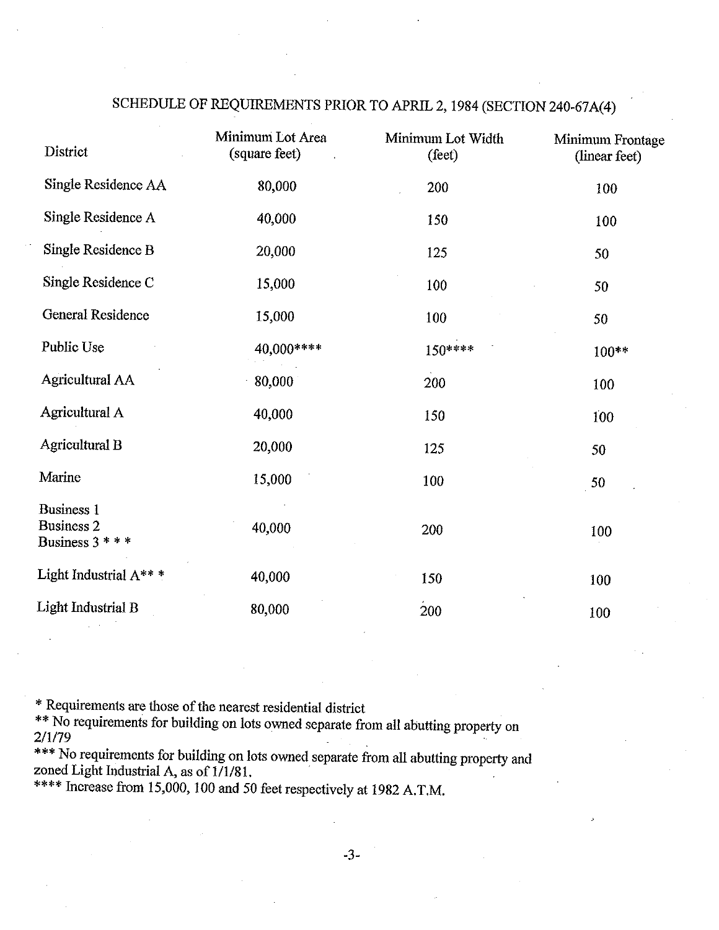| District                                                  | Minimum Lot Area<br>(square feet) | Minimum Lot Width<br>(feet) | Minimum Frontage<br>(linear feet) |
|-----------------------------------------------------------|-----------------------------------|-----------------------------|-----------------------------------|
| Single Residence AA                                       | 80,000                            | 200                         | 100                               |
| Single Residence A                                        | 40,000                            | 150                         | 100                               |
| Single Residence B                                        | 20,000                            | 125                         | 50                                |
| Single Residence C                                        | 15,000                            | 100                         | 50                                |
| <b>General Residence</b>                                  | 15,000                            | 100                         | 50                                |
| Public Use                                                | 40,000****                        | 150 ****                    | 100**                             |
| <b>Agricultural AA</b>                                    | 80,000                            | 200                         | 100                               |
| Agricultural A                                            | 40,000                            | 150                         | 100                               |
| <b>Agricultural B</b>                                     | 20,000                            | 125                         | 50                                |
| Marine                                                    | 15,000                            | 100                         | 50                                |
| <b>Business 1</b><br><b>Business 2</b><br>Business $3***$ | 40,000                            | 200                         | 100                               |
| Light Industrial A***                                     | 40,000                            | 150                         | 100                               |
| Light Industrial B                                        | 80,000                            | 200                         | 100                               |

## SCHEDULE OF REQUIREMENTS PRIOR TO APRIL 2, 1984 (SECTION 240-67A(4)

\* Requirements are those of the nearest residential district

\*\* No requirements for building on lots owned separate from all abutting property on 2/1/79

\*\*\* No requirements for building on lots owned separate from all abutting property and zoned Light Industrial A, as of 1/1/81.

\*\*\*\* Increase from 15,000, 100 and 50 feet respectively at 1982 A.T.M.

 $-3-$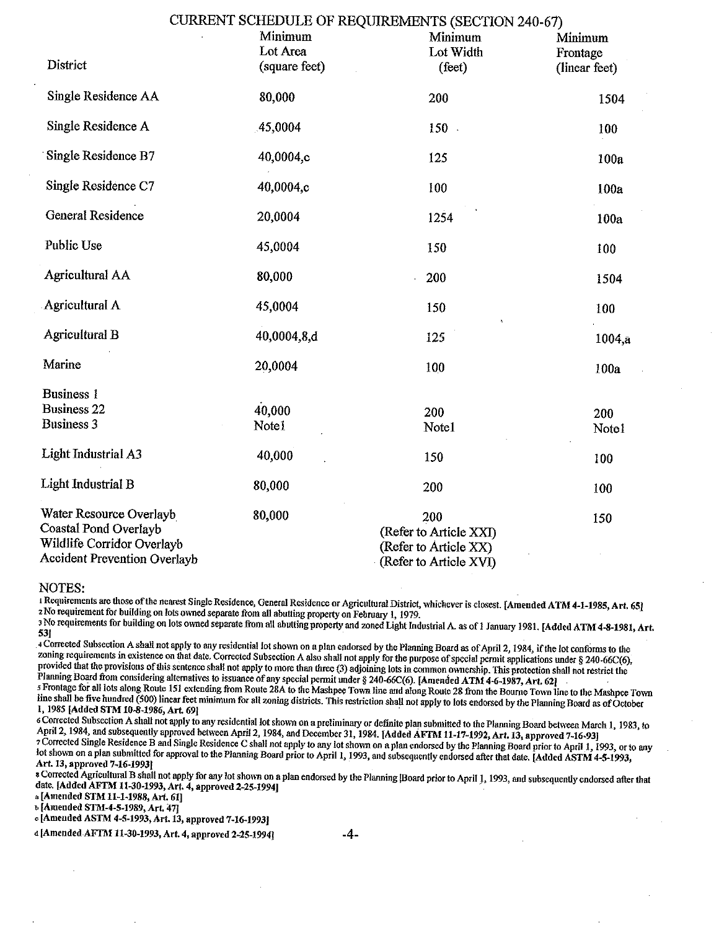|                                                                                                                       |               | CURRENT SCHEDULE OF REQUIREMENTS (SECTION 240-67)                                |               |
|-----------------------------------------------------------------------------------------------------------------------|---------------|----------------------------------------------------------------------------------|---------------|
|                                                                                                                       | Minimum       | Minimum                                                                          | Minimum       |
|                                                                                                                       | Lot Area      | Lot Width                                                                        | Frontage      |
| District                                                                                                              | (square feet) | (feet)                                                                           | (linear feet) |
| Single Residence AA                                                                                                   | 80,000        | 200                                                                              | 1504          |
| Single Residence A                                                                                                    | 45,0004       | 150                                                                              | 100           |
| Single Residence B7                                                                                                   | 40,0004,c     | 125                                                                              | 100a          |
| Single Residence C7                                                                                                   | 40,0004,c     | 100                                                                              | 100a          |
| <b>General Residence</b>                                                                                              | 20,0004       | 1254                                                                             | 100a          |
| Public Use                                                                                                            | 45,0004       | 150                                                                              | 100           |
| <b>Agricultural AA</b>                                                                                                | 80,000        | 200                                                                              | 1504          |
| Agricultural A                                                                                                        | 45,0004       | 150                                                                              | 100           |
| <b>Agricultural B</b>                                                                                                 | 40,0004,8,d   | 125                                                                              | 1004,a        |
| Marine                                                                                                                | 20,0004       | 100                                                                              | 100a          |
| <b>Business 1</b>                                                                                                     |               |                                                                                  |               |
| <b>Business 22</b>                                                                                                    | 40,000        | 200                                                                              | 200           |
| <b>Business 3</b>                                                                                                     | Note1         | Note1                                                                            | Note1         |
| <b>Light Industrial A3</b>                                                                                            | 40,000        | 150                                                                              | 100           |
| Light Industrial B                                                                                                    | 80,000        | 200                                                                              | 100           |
| Water Resource Overlayb<br>Coastal Pond Overlayb<br>Wildlife Corridor Overlayb<br><b>Accident Prevention Overlayb</b> | 80,000        | 200<br>(Refer to Article XXI)<br>(Refer to Article XX)<br>(Refer to Article XVI) | 150           |

#### NOTES:

1 Requirements are those of the nearest Single Residence, General Residence or Agricultural District, whichever is closest. [Amended ATM 4-1-1985, Art. 65] 2 No requirement for building on lots owned separate from all abutting property on February 1, 1979.

3 No requirements for building on lots owned separate from all abutting property and zoned Light Industrial A. as of 1 January 1981. [Added ATM 4-8-1981, Art. 53]

4 Corrected Subsection A shall not apply to any residential lot shown on a plan endorsed by the Planning Board as of April 2, 1984, if the lot conforms to the zoning requirements in existence on that date. Corrected Subsection A also shall not apply for the purpose of special permit applications under § 240-66C(6), provided that the provisions of this sentence shall not apply to more than three (3) adjoining lots in common ownership. This protection shall not restrict the Planning Board from considering alternatives to issuance of any special permit under § 240-66C(6). [Amended ATM 4-6-1987, Art. 62]

S Frontage for all lots along Route 151 extending from Route 28A to the Mashpee Town line and along Route 28 from the Bourne Town line to the Mashpee Town line shall be five hundred (500) linear feet minimum for all zoning districts. This restriction shall not apply to lots endorsed by the Planning Board as of October 1, 1985 [Added STM 10-8-1986, Art. 69]

6 Corrected Subsection A shall not apply to any residential lot shown on a preliminary or definite plan submitted to the Planning Board between March 1, 1983, to April 2, 1984, and subsequently approved between April 2, 1984, and December 31, 1984. [Added AFIM 11-17-1992, Art. 13, approved 7-16-93] 7 Corrected Single Residence B and Single Residence C shall not apply to any lot shown on a plan endorsed by the Planning Board prior to April 1, 1993, or to any lot shown on a plan submitted for approval to the Planning Board prior to April 1, 1993, and subsequently endorsed after that date. [Added ASTM 4-5-1993, Art. 13, approved 7-16-1993]

s Corrected Agricultural B shall not apply for any lot shown on a plan endorsed by the Planning [Board prior to April 1, 1993, and subsequently endorsed after that date. [Added AFTM 11-30-1993, Art. 4, approved 2-25-1994]

a [Amended STM 11-1-1988, Art. 61]

b [Amended STM-4-5-1989, Art. 47]

c [Amended ASTM 4-5-1993, Art. 13, approved 7-16-1993]

d [Amended AFTM 11-30-1993, Art. 4, approved 2-25-1994]